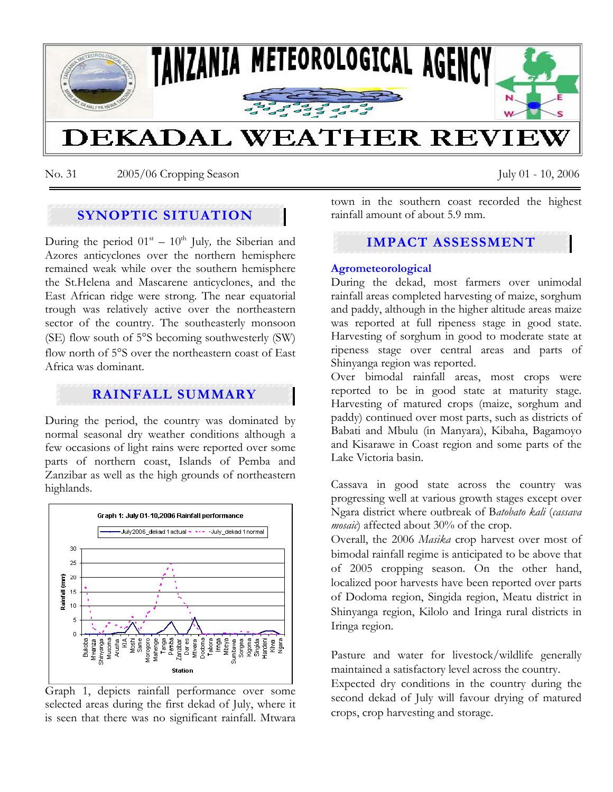

No. 31 2005/06 Cropping Season July 01 - 10, 2006

# **SYNOPTIC SITUATION**

During the period  $01<sup>st</sup> - 10<sup>th</sup>$  July, the Siberian and Azores anticyclones over the northern hemisphere remained weak while over the southern hemisphere the St.Helena and Mascarene anticyclones, and the East African ridge were strong. The near equatorial trough was relatively active over the northeastern sector of the country. The southeasterly monsoon (SE) flow south of 5°S becoming southwesterly (SW) flow north of 5°S over the northeastern coast of East Africa was dominant.

## **RAINFALL SUMMARY**

During the period, the country was dominated by normal seasonal dry weather conditions although a few occasions of light rains were reported over some parts of northern coast, Islands of Pemba and Zanzibar as well as the high grounds of northeastern highlands.



Graph 1, depicts rainfall performance over some selected areas during the first dekad of July, where it is seen that there was no significant rainfall. Mtwara

town in the southern coast recorded the highest rainfall amount of about 5.9 mm.

# **IMPACT ASSESSMENT**

### **Agrometeorological**

During the dekad, most farmers over unimodal rainfall areas completed harvesting of maize, sorghum and paddy, although in the higher altitude areas maize was reported at full ripeness stage in good state. Harvesting of sorghum in good to moderate state at ripeness stage over central areas and parts of Shinyanga region was reported.

Over bimodal rainfall areas, most crops were reported to be in good state at maturity stage. Harvesting of matured crops (maize, sorghum and paddy) continued over most parts, such as districts of Babati and Mbulu (in Manyara), Kibaha, Bagamoyo and Kisarawe in Coast region and some parts of the Lake Victoria basin.

Cassava in good state across the country was progressing well at various growth stages except over Ngara district where outbreak of B*atobato kali* (*cassava mosaic*) affected about 30% of the crop.

Overall, the 2006 *Masika* crop harvest over most of bimodal rainfall regime is anticipated to be above that of 2005 cropping season. On the other hand, localized poor harvests have been reported over parts of Dodoma region, Singida region, Meatu district in Shinyanga region, Kilolo and Iringa rural districts in Iringa region.

Pasture and water for livestock/wildlife generally maintained a satisfactory level across the country.

Expected dry conditions in the country during the second dekad of July will favour drying of matured crops, crop harvesting and storage.